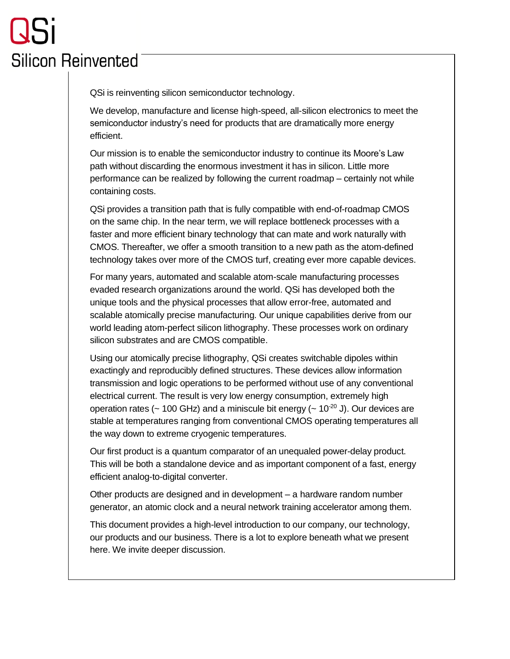# **Silicon Reinvented**

QSi is reinventing silicon semiconductor technology.

We develop, manufacture and license high-speed, all-silicon electronics to meet the semiconductor industry's need for products that are dramatically more energy efficient.

Our mission is to enable the semiconductor industry to continue its Moore's Law path without discarding the enormous investment it has in silicon. Little more performance can be realized by following the current roadmap – certainly not while containing costs.

QSi provides a transition path that is fully compatible with end-of-roadmap CMOS on the same chip. In the near term, we will replace bottleneck processes with a faster and more efficient binary technology that can mate and work naturally with CMOS. Thereafter, we offer a smooth transition to a new path as the atom-defined technology takes over more of the CMOS turf, creating ever more capable devices.

For many years, automated and scalable atom-scale manufacturing processes evaded research organizations around the world. QSi has developed both the unique tools and the physical processes that allow error-free, automated and scalable atomically precise manufacturing. Our unique capabilities derive from our world leading atom-perfect silicon lithography. These processes work on ordinary silicon substrates and are CMOS compatible.

Using our atomically precise lithography, QSi creates switchable dipoles within exactingly and reproducibly defined structures. These devices allow information transmission and logic operations to be performed without use of any conventional electrical current. The result is very low energy consumption, extremely high operation rates ( $\sim$  100 GHz) and a miniscule bit energy ( $\sim$  10<sup>-20</sup> J). Our devices are stable at temperatures ranging from conventional CMOS operating temperatures all the way down to extreme cryogenic temperatures.

Our first product is a quantum comparator of an unequaled power-delay product. This will be both a standalone device and as important component of a fast, energy efficient analog-to-digital converter.

Other products are designed and in development – a hardware random number generator, an atomic clock and a neural network training accelerator among them.

This document provides a high-level introduction to our company, our technology, our products and our business. There is a lot to explore beneath what we present here. We invite deeper discussion.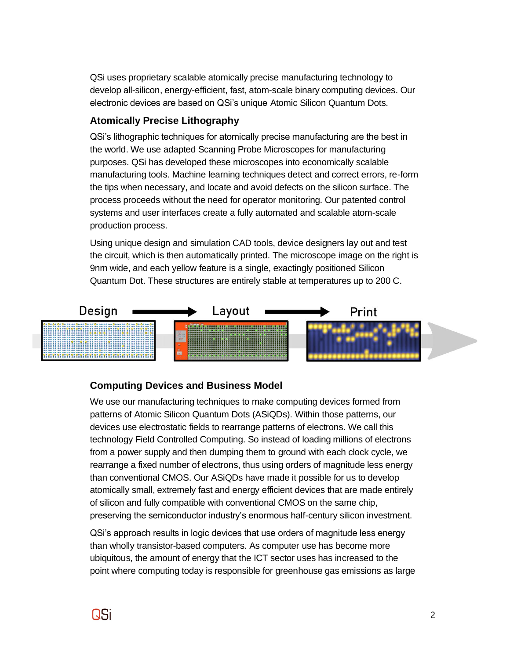QSi uses proprietary scalable atomically precise manufacturing technology to develop all-silicon, energy-efficient, fast, atom-scale binary computing devices. Our electronic devices are based on QSi's unique Atomic Silicon Quantum Dots.

### **Atomically Precise Lithography**

QSi's lithographic techniques for atomically precise manufacturing are the best in the world. We use adapted Scanning Probe Microscopes for manufacturing purposes. QSi has developed these microscopes into economically scalable manufacturing tools. Machine learning techniques detect and correct errors, re-form the tips when necessary, and locate and avoid defects on the silicon surface. The process proceeds without the need for operator monitoring. Our patented control systems and user interfaces create a fully automated and scalable atom-scale production process.

Using unique design and simulation CAD tools, device designers lay out and test the circuit, which is then automatically printed. The microscope image on the right is 9nm wide, and each yellow feature is a single, exactingly positioned Silicon Quantum Dot. These structures are entirely stable at temperatures up to 200 C.



## **Computing Devices and Business Model**

We use our manufacturing techniques to make computing devices formed from patterns of Atomic Silicon Quantum Dots (ASiQDs). Within those patterns, our devices use electrostatic fields to rearrange patterns of electrons. We call this technology Field Controlled Computing. So instead of loading millions of electrons from a power supply and then dumping them to ground with each clock cycle, we rearrange a fixed number of electrons, thus using orders of magnitude less energy than conventional CMOS. Our ASiQDs have made it possible for us to develop atomically small, extremely fast and energy efficient devices that are made entirely of silicon and fully compatible with conventional CMOS on the same chip, preserving the semiconductor industry's enormous half-century silicon investment.

QSi's approach results in logic devices that use orders of magnitude less energy than wholly transistor-based computers. As computer use has become more ubiquitous, the amount of energy that the ICT sector uses has increased to the point where computing today is responsible for greenhouse gas emissions as large

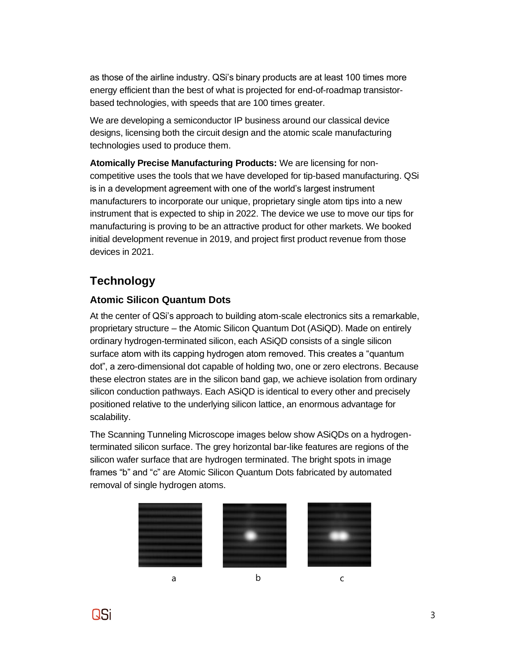as those of the airline industry. QSi's binary products are at least 100 times more energy efficient than the best of what is projected for end-of-roadmap transistorbased technologies, with speeds that are 100 times greater.

We are developing a semiconductor IP business around our classical device designs, licensing both the circuit design and the atomic scale manufacturing technologies used to produce them.

**Atomically Precise Manufacturing Products:** We are licensing for noncompetitive uses the tools that we have developed for tip-based manufacturing. QSi is in a development agreement with one of the world's largest instrument manufacturers to incorporate our unique, proprietary single atom tips into a new instrument that is expected to ship in 2022. The device we use to move our tips for manufacturing is proving to be an attractive product for other markets. We booked initial development revenue in 2019, and project first product revenue from those devices in 2021.

## **Technology**

## **Atomic Silicon Quantum Dots**

At the center of QSi's approach to building atom-scale electronics sits a remarkable, proprietary structure – the Atomic Silicon Quantum Dot (ASiQD). Made on entirely ordinary hydrogen-terminated silicon, each ASiQD consists of a single silicon surface atom with its capping hydrogen atom removed. This creates a "quantum dot", a zero-dimensional dot capable of holding two, one or zero electrons. Because these electron states are in the silicon band gap, we achieve isolation from ordinary silicon conduction pathways. Each ASiQD is identical to every other and precisely positioned relative to the underlying silicon lattice, an enormous advantage for scalability.

The Scanning Tunneling Microscope images below show ASiQDs on a hydrogenterminated silicon surface. The grey horizontal bar-like features are regions of the silicon wafer surface that are hydrogen terminated. The bright spots in image frames "b" and "c" are Atomic Silicon Quantum Dots fabricated by automated removal of single hydrogen atoms.



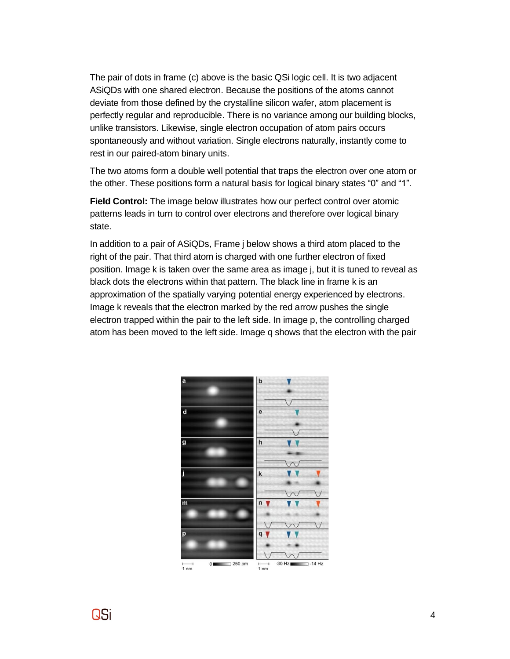The pair of dots in frame (c) above is the basic QSi logic cell. It is two adjacent ASiQDs with one shared electron. Because the positions of the atoms cannot deviate from those defined by the crystalline silicon wafer, atom placement is perfectly regular and reproducible. There is no variance among our building blocks, unlike transistors. Likewise, single electron occupation of atom pairs occurs spontaneously and without variation. Single electrons naturally, instantly come to rest in our paired-atom binary units.

The two atoms form a double well potential that traps the electron over one atom or the other. These positions form a natural basis for logical binary states "0" and "1".

**Field Control:** The image below illustrates how our perfect control over atomic patterns leads in turn to control over electrons and therefore over logical binary state.

In addition to a pair of ASiQDs, Frame j below shows a third atom placed to the right of the pair. That third atom is charged with one further electron of fixed position. Image k is taken over the same area as image j, but it is tuned to reveal as black dots the electrons within that pattern. The black line in frame k is an approximation of the spatially varying potential energy experienced by electrons. Image k reveals that the electron marked by the red arrow pushes the single electron trapped within the pair to the left side. In image p, the controlling charged atom has been moved to the left side. Image q shows that the electron with the pair



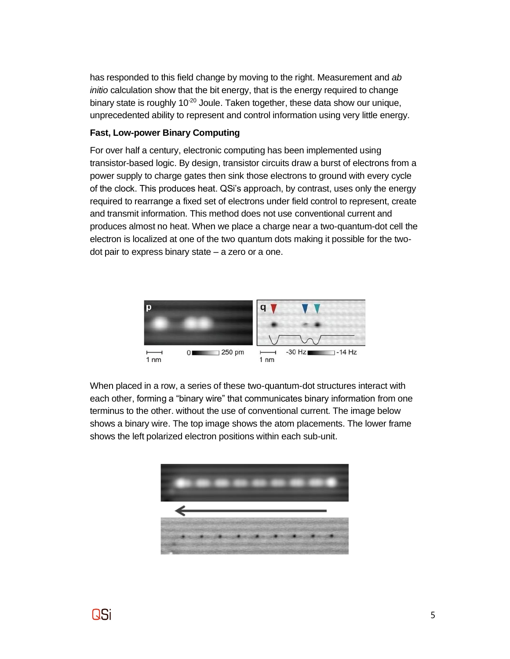has responded to this field change by moving to the right. Measurement and *ab initio* calculation show that the bit energy, that is the energy required to change binary state is roughly 10<sup>-20</sup> Joule. Taken together, these data show our unique, unprecedented ability to represent and control information using very little energy.

#### **Fast, Low-power Binary Computing**

For over half a century, electronic computing has been implemented using transistor-based logic. By design, transistor circuits draw a burst of electrons from a power supply to charge gates then sink those electrons to ground with every cycle of the clock. This produces heat. QSi's approach, by contrast, uses only the energy required to rearrange a fixed set of electrons under field control to represent, create and transmit information. This method does not use conventional current and produces almost no heat. When we place a charge near a two-quantum-dot cell the electron is localized at one of the two quantum dots making it possible for the twodot pair to express binary state – a zero or a one.



When placed in a row, a series of these two-quantum-dot structures interact with each other, forming a "binary wire" that communicates binary information from one terminus to the other. without the use of conventional current. The image below shows a binary wire. The top image shows the atom placements. The lower frame shows the left polarized electron positions within each sub-unit.



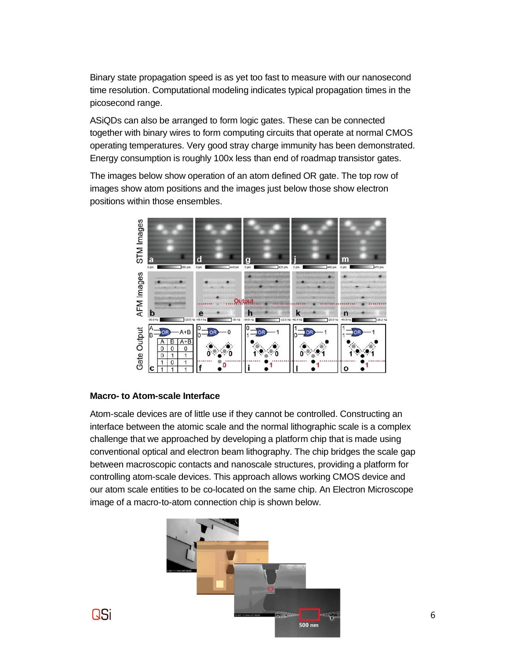Binary state propagation speed is as yet too fast to measure with our nanosecond time resolution. Computational modeling indicates typical propagation times in the picosecond range.

ASiQDs can also be arranged to form logic gates. These can be connected together with binary wires to form computing circuits that operate at normal CMOS operating temperatures. Very good stray charge immunity has been demonstrated. Energy consumption is roughly 100x less than end of roadmap transistor gates.

The images below show operation of an atom defined OR gate. The top row of images show atom positions and the images just below those show electron positions within those ensembles.



#### **Macro- to Atom-scale Interface**

Atom-scale devices are of little use if they cannot be controlled. Constructing an interface between the atomic scale and the normal lithographic scale is a complex challenge that we approached by developing a platform chip that is made using conventional optical and electron beam lithography. The chip bridges the scale gap between macroscopic contacts and nanoscale structures, providing a platform for controlling atom-scale devices. This approach allows working CMOS device and our atom scale entities to be co-located on the same chip. An Electron Microscope image of a macro-to-atom connection chip is shown below.



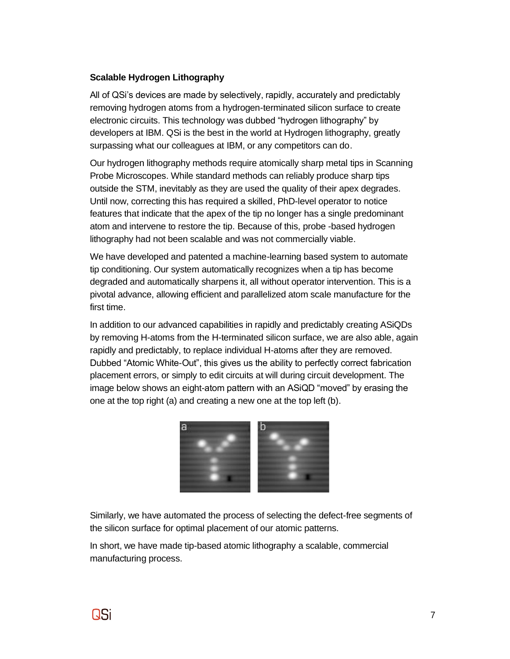#### **Scalable Hydrogen Lithography**

All of QSi's devices are made by selectively, rapidly, accurately and predictably removing hydrogen atoms from a hydrogen-terminated silicon surface to create electronic circuits. This technology was dubbed "hydrogen lithography" by developers at IBM. QSi is the best in the world at Hydrogen lithography, greatly surpassing what our colleagues at IBM, or any competitors can do.

Our hydrogen lithography methods require atomically sharp metal tips in Scanning Probe Microscopes. While standard methods can reliably produce sharp tips outside the STM, inevitably as they are used the quality of their apex degrades. Until now, correcting this has required a skilled, PhD-level operator to notice features that indicate that the apex of the tip no longer has a single predominant atom and intervene to restore the tip. Because of this, probe -based hydrogen lithography had not been scalable and was not commercially viable.

We have developed and patented a machine-learning based system to automate tip conditioning. Our system automatically recognizes when a tip has become degraded and automatically sharpens it, all without operator intervention. This is a pivotal advance, allowing efficient and parallelized atom scale manufacture for the first time.

In addition to our advanced capabilities in rapidly and predictably creating ASiQDs by removing H-atoms from the H-terminated silicon surface, we are also able, again rapidly and predictably, to replace individual H-atoms after they are removed. Dubbed "Atomic White-Out", this gives us the ability to perfectly correct fabrication placement errors, or simply to edit circuits at will during circuit development. The image below shows an eight-atom pattern with an ASiQD "moved" by erasing the one at the top right (a) and creating a new one at the top left (b).



Similarly, we have automated the process of selecting the defect-free segments of the silicon surface for optimal placement of our atomic patterns.

In short, we have made tip-based atomic lithography a scalable, commercial manufacturing process.